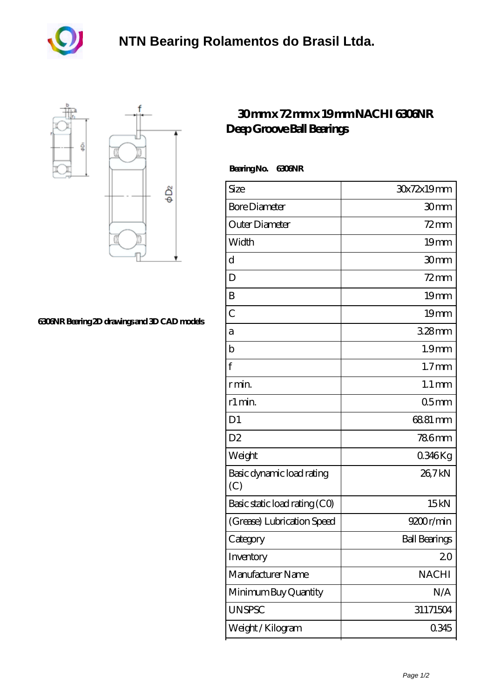



## **[6306NR Bearing 2D drawings and 3D CAD models](https://m.akfvr.com/pic-65071094.html)**

## **[30 mm x 72 mm x 19 mm NACHI 6306NR](https://m.akfvr.com/az-65071094-nachi-6306nr-deep-groove-ball-bearings.html) [Deep Groove Ball Bearings](https://m.akfvr.com/az-65071094-nachi-6306nr-deep-groove-ball-bearings.html)**

## **Bearing No. 6306NR**

| Size                             | 30x72x19mm           |
|----------------------------------|----------------------|
| <b>Bore Diameter</b>             | 30mm                 |
| Outer Diameter                   | $72 \text{mm}$       |
| Width                            | 19mm                 |
| d                                | 30mm                 |
| D                                | $72$ mm              |
| B                                | 19 <sub>mm</sub>     |
| $\overline{C}$                   | 19mm                 |
| a                                | $328$ mm             |
| b                                | 1.9 <sub>mm</sub>    |
| $\mathbf{f}$                     | $1.7$ mm             |
| r min.                           | $1.1 \,\mathrm{mm}$  |
| r1 min.                          | 05 <sub>mm</sub>     |
| D <sub>1</sub>                   | 6881 mm              |
| D <sub>2</sub>                   | <b>786mm</b>         |
| Weight                           | 0346Kg               |
| Basic dynamic load rating<br>(C) | 26,7kN               |
| Basic static load rating (CO)    | 15kN                 |
| (Grease) Lubrication Speed       | 9200r/min            |
| Category                         | <b>Ball Bearings</b> |
| Inventory                        | 20                   |
| Manufacturer Name                | <b>NACHI</b>         |
| Minimum Buy Quantity             | N/A                  |
| <b>UNSPSC</b>                    | 31171504             |
| Weight / Kilogram                | 0345                 |